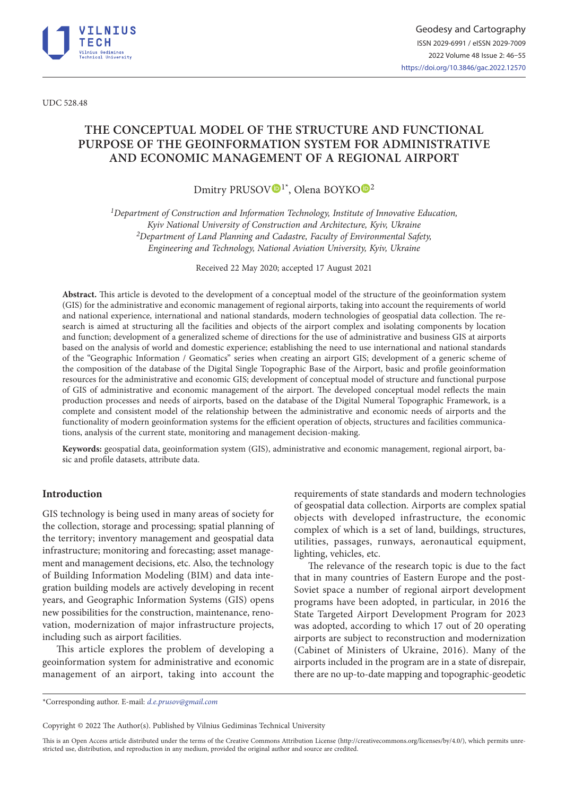

UDC 528.48

# **THE CONCEPTUAL MODEL OF THE STRUCTURE AND FUNCTIONAL PURPOSE OF THE GEOINFORMATION SYSTEM FOR ADMINISTRATIVE AND ECONOMIC MANAGEMENT OF A REGIONAL AIRPORT**

Dmitry PRUSOV<sup>I\*</sup>, Olena BOYKO<sup>D[2](https://orcid.org/0000-0001-8654-9392)</sup>

*1Department of Construction and Information Technology, Institute of Innovative Education, Kyiv National University of Construction and Architecture, Kyiv, Ukraine 2Department of Land Planning and Cadastre, Faculty of Environmental Safety, Еngineering and Technology, National Aviation University, Kyiv, Ukraine*

Received 22 May 2020; accepted 17 August 2021

**Abstract.** This article is devoted to the development of a conceptual model of the structure of the geoinformation system (GIS) for the administrative and economic management of regional airports, taking into account the requirements of world and national experience, international and national standards, modern technologies of geospatial data collection. The research is aimed at structuring all the facilities and objects of the airport complex and isolating components by location and function; development of a generalized scheme of directions for the use of administrative and business GIS at airports based on the analysis of world and domestic experience; establishing the need to use international and national standards of the "Geographic Information / Geomatics" series when creating an airport GIS; development of a generic scheme of the composition of the database of the Digital Single Topographic Base of the Airport, basic and profile geoinformation resources for the administrative and economic GIS; development of conceptual model of structure and functional purpose of GIS of administrative and economic management of the airport. The developed conceptual model reflects the main production processes and needs of airports, based on the database of the Digital Numeral Topographic Framework, is a complete and consistent model of the relationship between the administrative and economic needs of airports and the functionality of modern geoinformation systems for the efficient operation of objects, structures and facilities communications, analysis of the current state, monitoring and management decision-making.

**Keywords:** geospatial data, geoinformation system (GIS), administrative and economic management, regional airport, basic and profile datasets, attribute data.

# **Introduction**

GIS technology is being used in many areas of society for the collection, storage and processing; spatial planning of the territory; inventory management and geospatial data infrastructure; monitoring and forecasting; asset management and management decisions, etc. Also, the technology of Building Information Modeling (BIM) and data integration building models are actively developing in recent years, and Geographic Information Systems (GIS) opens new possibilities for the construction, maintenance, renovation, modernization of major infrastructure projects, including such as airport facilities.

This article explores the problem of developing a geoinformation system for administrative and economic management of an airport, taking into account the requirements of state standards and modern technologies of geospatial data collection. Airports are complex spatial objects with developed infrastructure, the economic complex of which is a set of land, buildings, structures, utilities, passages, runways, aeronautical equipment, lighting, vehicles, etc.

The relevance of the research topic is due to the fact that in many countries of Eastern Europe and the post-Soviet space a number of regional airport development programs have been adopted, in particular, in 2016 the State Targeted Airport Development Program for 2023 was adopted, according to which 17 out of 20 operating airports are subject to reconstruction and modernization (Cabinet of Ministers of Ukraine, 2016). Many of the airports included in the program are in a state of disrepair, there are no up-to-date mapping and topographic-geodetic

Copyright © 2022 The Author(s). Published by Vilnius Gediminas Technical University

This is an Open Access article distributed under the terms of the Creative Commons Attribution License [\(http://creativecommons.org/licenses/by/4.0/](http://creativecommons.org/licenses/by/4.0/)), which permits unrestricted use, distribution, and reproduction in any medium, provided the original author and source are credited.

<sup>\*</sup>Corresponding author. E-mail: *d.e.prusov@gmail.com*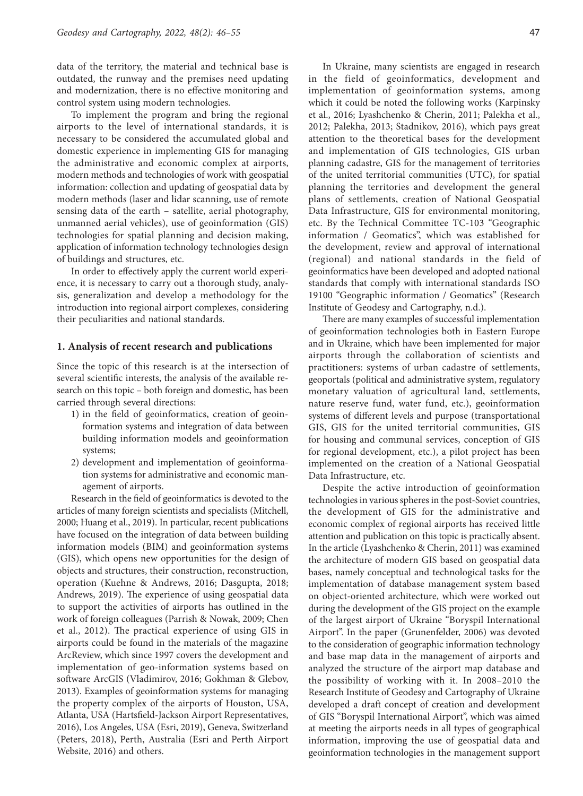data of the territory, the material and technical base is outdated, the runway and the premises need updating and modernization, there is no effective monitoring and control system using modern technologies.

To implement the program and bring the regional airports to the level of international standards, it is necessary to be considered the accumulated global and domestic experience in implementing GIS for managing the administrative and economic complex at airports, modern methods and technologies of work with geospatial information: collection and updating of geospatial data by modern methods (laser and lidar scanning, use of remote sensing data of the earth – satellite, aerial photography, unmanned aerial vehicles), use of geoinformation (GIS) technologies for spatial planning and decision making, application of information technology technologies design of buildings and structures, etc.

In order to effectively apply the current world experience, it is necessary to carry out a thorough study, analysis, generalization and develop a methodology for the introduction into regional airport complexes, considering their peculiarities and national standards.

#### **1. Analysis of recent research and publications**

Since the topic of this research is at the intersection of several scientific interests, the analysis of the available research on this topic – both foreign and domestic, has been carried through several directions:

- 1) in the field of geoinformatics, creation of geoinformation systems and integration of data between building information models and geoinformation systems;
- 2) development and implementation of geoinformation systems for administrative and economic management of airports.

Research in the field of geoinformatics is devoted to the articles of many foreign scientists and specialists (Mitchell, 2000; Huang et al., 2019). In particular, recent publications have focused on the integration of data between building information models (BIM) and geoinformation systems (GIS), which opens new opportunities for the design of objects and structures, their construction, reconstruction, operation (Kuehne & Andrews, 2016; Dasgupta, 2018; Andrews, 2019). The experience of using geospatial data to support the activities of airports has outlined in the work of foreign colleagues (Parrish & Nowak, 2009; Chen et al., 2012). The practical experience of using GIS in airports could be found in the materials of the magazine ArcReview, which since 1997 covers the development and implementation of geo-information systems based on software ArcGIS (Vladimirov, 2016; Gokhman & Glebov, 2013). Examples of geoinformation systems for managing the property complex of the airports of Houston, USA, Atlanta, USA (Hartsfield-Jackson Airport Representatives, 2016), Los Angeles, USA (Esri, 2019), Geneva, Switzerland (Peters, 2018), Perth, Australia (Esri and Perth Airport Website, 2016) and others.

In Ukraine, many scientists are engaged in research in the field of geoinformatics, development and implementation of geoinformation systems, among which it could be noted the following works (Karpinsky et al., 2016; Lyashchenko & Cherin, 2011; Palekha et al., 2012; Palekha, 2013; Stadnikov, 2016), which pays great attention to the theoretical bases for the development and implementation of GIS technologies, GIS urban planning cadastre, GIS for the management of territories of the united territorial communities (UTC), for spatial planning the territories and development the general plans of settlements, creation of National Geospatial Data Infrastructure, GIS for environmental monitoring, etc. By the Technical Committee ТC-103 "Geographic information / Geomatics", which was established for the development, review and approval of international (regional) and national standards in the field of geoinformatics have been developed and adopted national standards that comply with international standards ISO 19100 "Geographic information / Geomatics" (Research Institute of Geodesy and Cartography, n.d.).

There are many examples of successful implementation of geoinformation technologies both in Eastern Europe and in Ukraine, which have been implemented for major airports through the collaboration of scientists and practitioners: systems of urban cadastre of settlements, geoportals (political and administrative system, regulatory monetary valuation of agricultural land, settlements, nature reserve fund, water fund, etc.), geoinformation systems of different levels and purpose (transportational GIS, GIS for the united territorial communities, GIS for housing and communal services, conception of GIS for regional development, etc.), a pilot project has been implemented on the creation of a National Geospatial Data Infrastructure, etc.

Despite the active introduction of geoinformation technologies in various spheres in the post-Soviet countries, the development of GIS for the administrative and economic complex of regional airports has received little attention and publication on this topic is practically absent. In the article (Lyashchenko & Cherin, 2011) was examined the architecture of modern GIS based on geospatial data bases, namely conceptual and technological tasks for the implementation of database management system based on object-oriented architecture, which were worked out during the development of the GIS project on the example of the largest airport of Ukraine "Boryspil International Airport". In the paper (Grunenfelder, 2006) was devoted to the consideration of geographic information technology and base map data in the management of airports and analyzed the structure of the airport map database and the possibility of working with it. In 2008–2010 the Research Institute of Geodesy and Cartography of Ukraine developed a draft concept of creation and development of GIS "Boryspil International Airport", which was aimed at meeting the airports needs in all types of geographical information, improving the use of geospatial data and geoinformation technologies in the management support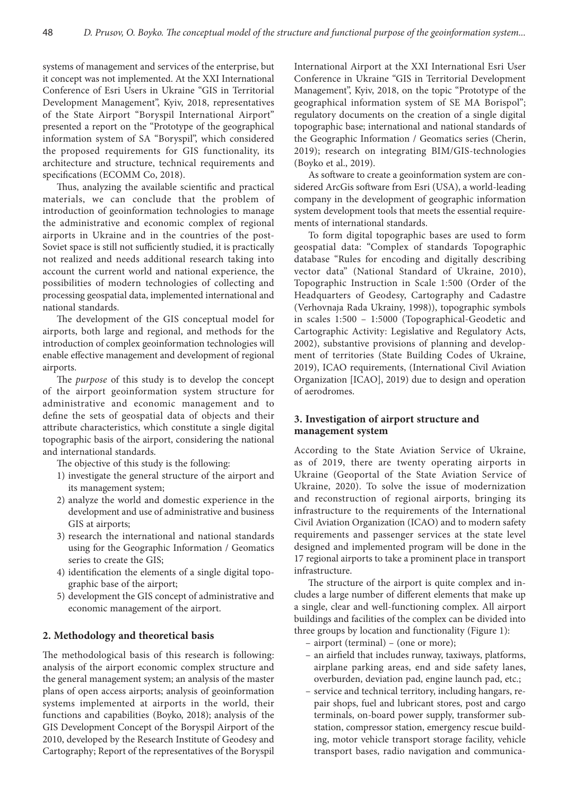systems of management and services of the enterprise, but it concept was not implemented. At the XXI International Conference of Esri Users in Ukraine "GIS in Territorial Development Management", Kyiv, 2018, representatives of the State Airport "Boryspil International Airport" presented a report on the "Prototype of the geographical information system of SA "Boryspil", which considered the proposed requirements for GIS functionality, its architecture and structure, technical requirements and specifications (ЕСОММ Со, 2018).

Thus, analyzing the available scientific and practical materials, we can conclude that the problem of introduction of geoinformation technologies to manage the administrative and economic complex of regional airports in Ukraine and in the countries of the post-Soviet space is still not sufficiently studied, it is practically not realized and needs additional research taking into account the current world and national experience, the possibilities of modern technologies of collecting and processing geospatial data, implemented international and national standards.

The development of the GIS conceptual model for airports, both large and regional, and methods for the introduction of complex geoinformation technologies will enable effective management and development of regional airports.

The *purpose* of this study is to develop the concept of the airport geoinformation system structure for administrative and economic management and to define the sets of geospatial data of objects and their attribute characteristics, which constitute a single digital topographic basis of the airport, considering the national and international standards.

The objective of this study is the following:

- 1) investigate the general structure of the airport and its management system;
- 2) analyze the world and domestic experience in the development and use of administrative and business GIS at airports;
- 3) research the international and national standards using for the Geographic Information / Geomatics series to create the GIS;
- 4) identification the elements of a single digital topographic base of the airport;
- 5) development the GIS concept of administrative and economic management of the airport.

#### **2. Methodology and theoretical basis**

The methodological basis of this research is following: analysis of the airport economic complex structure and the general management system; an analysis of the master plans of open access airports; analysis of geoinformation systems implemented at airports in the world, their functions and capabilities (Boyko, 2018); analysis of the GIS Development Concept of the Boryspil Airport of the 2010, developed by the Research Institute of Geodesy and Cartography; Report of the representatives of the Boryspil International Airport at the XXI International Esri User Conference in Ukraine "GIS in Territorial Development Management", Kyiv, 2018, on the topic "Prototype of the geographical information system of SE MA Borispol"; regulatory documents on the creation of a single digital topographic base; international and national standards of the Geographic Information / Geomatics series (Cherin, 2019); research on integrating BIM/GIS-technologies (Boyko et al., 2019).

As software to create a geoinformation system are considered ArcGis software from Esri (USA), a world-leading company in the development of geographic information system development tools that meets the essential requirements of international standards.

To form digital topographic bases are used to form geospatial data: "Complex of standards Topographic database "Rules for encoding and digitally describing vector data" (National Standard of Ukraine, 2010), Topographic Instruction in Scale 1:500 (Order of the Headquarters of Geodesy, Cartography and Cadastre (Verhovnaja Rada Ukrainy, 1998)), topographic symbols in scales 1:500 – 1:5000 (Topographical-Geodetic and Cartographic Activity: Legislative and Regulatory Acts, 2002), substantive provisions of planning and development of territories (State Building Codes of Ukraine, 2019), ІCAO requirements, (International Civil Aviation Organization [ICAO], 2019) due to design and operation of aerodromes.

### **3. Investigation of airport structure and management system**

According to the State Aviation Service of Ukraine, as of 2019, there are twenty operating airports in Ukraine (Geoportal of the State Aviation Service of Ukraine, 2020). To solve the issue of modernization and reconstruction of regional airports, bringing its infrastructure to the requirements of the International Civil Aviation Organization (ICAO) and to modern safety requirements and passenger services at the state level designed and implemented program will be done in the 17 regional airports to take a prominent place in transport infrastructure.

The structure of the airport is quite complex and includes a large number of different elements that make up a single, clear and well-functioning complex. All airport buildings and facilities of the complex can be divided into three groups by location and functionality (Figure 1):

- airport (terminal) (one or more);
- an airfield that includes runway, taxiways, platforms, airplane parking areas, end and side safety lanes, overburden, deviation pad, engine launch pad, etc.;
- service and technical territory, including hangars, repair shops, fuel and lubricant stores, post and cargo terminals, on-board power supply, transformer substation, compressor station, emergency rescue building, motor vehicle transport storage facility, vehicle transport bases, radio navigation and communica-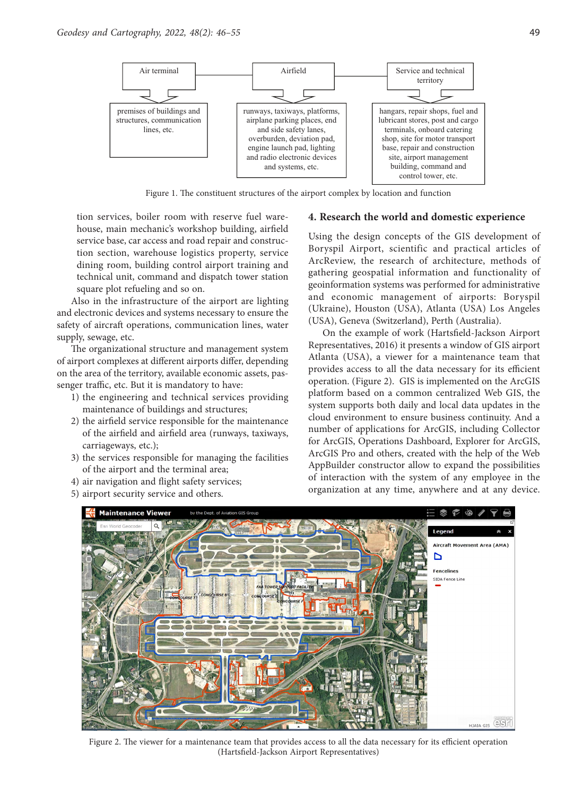

Figure 1. The constituent structures of the airport complex by location and function

tion services, boiler room with reserve fuel warehouse, main mechanic's workshop building, airfield service base, car access and road repair and construction section, warehouse logistics property, service dining room, building control airport training and technical unit, command and dispatch tower station square plot refueling and so on.

Also in the infrastructure of the airport are lighting and electronic devices and systems necessary to ensure the safety of aircraft operations, communication lines, water supply, sewage, etc.

The organizational structure and management system of airport complexes at different airports differ, depending on the area of the territory, available economic assets, passenger traffic, etc. But it is mandatory to have:

- 1) the engineering and technical services providing maintenance of buildings and structures;
- 2) the airfield service responsible for the maintenance of the airfield and airfield area (runways, taxiways, carriageways, etc.);
- 3) the services responsible for managing the facilities of the airport and the terminal area;
- 4) air navigation and flight safety services;
- 5) airport security service and others.

#### **4. Research the world and domestic experience**

Using the design concepts of the GIS development of Boryspil Airport, scientific and practical articles of ArcReview, the research of architecture, methods of gathering geospatial information and functionality of geoinformation systems was performed for administrative and economic management of airports: Boryspil (Ukraine), Houston (USA), Atlanta (USA) Los Angeles (USA), Geneva (Switzerland), Perth (Australia).

On the example of work (Hartsfield-Jackson Airport Representatives, 2016) it presents a window of GIS airport Atlanta (USA), a viewer for a maintenance team that provides access to all the data necessary for its efficient operation. (Figure 2). GIS is implemented on the ArcGIS platform based on a common centralized Web GIS, the system supports both daily and local data updates in the cloud environment to ensure business continuity. And a number of applications for ArcGIS, including Collector for ArcGIS, Operations Dashboard, Explorer for ArcGIS, ArcGIS Pro and others, created with the help of the Web AppBuilder constructor allow to expand the possibilities of interaction with the system of any employee in the organization at any time, anywhere and at any device.



Figure 2. The viewer for a maintenance team that provides access to all the data necessary for its efficient operation (Hartsfield-Jackson Airport Representatives)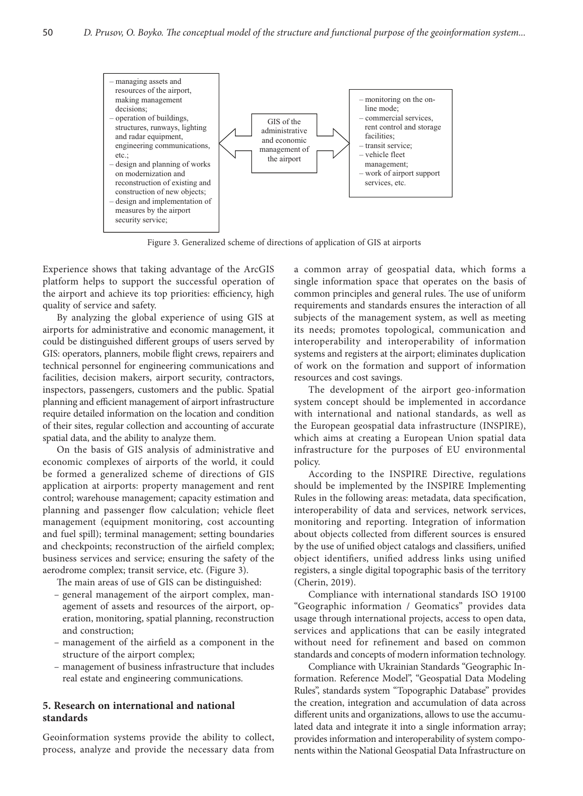

Figure 3. Generalized scheme of directions of application of GIS at airports

Experience shows that taking advantage of the ArcGIS platform helps to support the successful operation of the airport and achieve its top priorities: efficiency, high quality of service and safety.

By analyzing the global experience of using GIS at airports for administrative and economic management, it could be distinguished different groups of users served by GIS: operators, planners, mobile flight crews, repairers and technical personnel for engineering communications and facilities, decision makers, airport security, contractors, inspectors, passengers, customers and the public. Spatial planning and efficient management of airport infrastructure require detailed information on the location and condition of their sites, regular collection and accounting of accurate spatial data, and the ability to analyze them.

On the basis of GIS analysis of administrative and economic complexes of airports of the world, it could be formed a generalized scheme of directions of GIS application at airports: property management and rent control; warehouse management; capacity estimation and planning and passenger flow calculation; vehicle fleet management (equipment monitoring, cost accounting and fuel spill); terminal management; setting boundaries and checkpoints; reconstruction of the airfield complex; business services and service; ensuring the safety of the aerodrome complex; transit service, etc. (Figure 3).

The main areas of use of GIS can be distinguished:

- general management of the airport complex, management of assets and resources of the airport, operation, monitoring, spatial planning, reconstruction and construction;
- management of the airfield as a component in the structure of the airport complex;
- management of business infrastructure that includes real estate and engineering communications.

### **5. Research on international and national standards**

Geoinformation systems provide the ability to collect, process, analyze and provide the necessary data from a common array of geospatial data, which forms a single information space that operates on the basis of common principles and general rules. The use of uniform requirements and standards ensures the interaction of all subjects of the management system, as well as meeting its needs; promotes topological, communication and interoperability and interoperability of information systems and registers at the airport; eliminates duplication of work on the formation and support of information resources and cost savings.

The development of the airport geo-information system concept should be implemented in accordance with international and national standards, as well as the European geospatial data infrastructure (INSPIRE), which aims at creating a European Union spatial data infrastructure for the purposes of EU environmental policy.

According to the INSPIRE Directive, regulations should be implemented by the INSPIRE Implementing Rules in the following areas: metadata, data specification, interoperability of data and services, network services, monitoring and reporting. Integration of information about objects collected from different sources is ensured by the use of unified object catalogs and classifiers, unified object identifiers, unified address links using unified registers, a single digital topographic basis of the territory (Cherin, 2019).

Compliance with international standards ISO 19100 "Geographic information / Geomatics" provides data usage through international projects, access to open data, services and applications that can be easily integrated without need for refinement and based on common standards and concepts of modern information technology.

Compliance with Ukrainian Standards "Geographic Information. Reference Model", "Geospatial Data Modeling Rules", standards system "Topographic Database" provides the creation, integration and accumulation of data across different units and organizations, allows to use the accumulated data and integrate it into a single information array; provides information and interoperability of system components within the National Geospatial Data Infrastructure on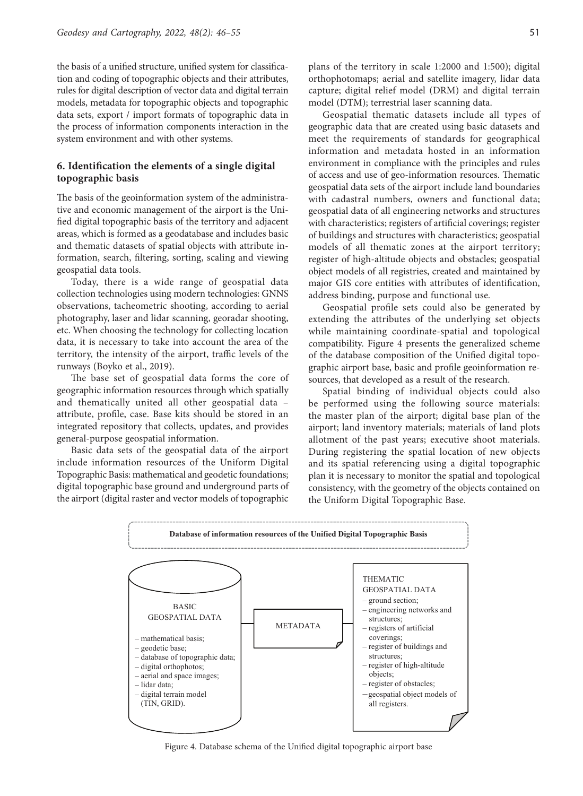the basis of a unified structure, unified system for classification and coding of topographic objects and their attributes, rules for digital description of vector data and digital terrain models, metadata for topographic objects and topographic data sets, export / import formats of topographic data in the process of information components interaction in the system environment and with other systems.

# **6. Identification the elements of a single digital topographic basis**

The basis of the geoinformation system of the administrative and economic management of the airport is the Unified digital topographic basis of the territory and adjacent areas, which is formed as a geodatabase and includes basic and thematic datasets of spatial objects with attribute information, search, filtering, sorting, scaling and viewing geospatial data tools.

Today, there is a wide range of geospatial data collection technologies using modern technologies: GNNS observations, tacheometric shooting, according to aerial photography, laser and lidar scanning, georadar shooting, etc. When choosing the technology for collecting location data, it is necessary to take into account the area of the territory, the intensity of the airport, traffic levels of the runways (Boyko et al., 2019).

The base set of geospatial data forms the core of geographic information resources through which spatially and thematically united all other geospatial data – attribute, profile, case. Base kits should be stored in an integrated repository that collects, updates, and provides general-purpose geospatial information.

Basic data sets of the geospatial data of the airport include information resources of the Uniform Digital Topographic Basis: mathematical and geodetic foundations; digital topographic base ground and underground parts of the airport (digital raster and vector models of topographic plans of the territory in scale 1:2000 and 1:500); digital orthophotomaps; aerial and satellite imagery, lidar data capture; digital relief model (DRM) and digital terrain model (DTM); terrestrial laser scanning data.

Geospatial thematic datasets include all types of geographic data that are created using basic datasets and meet the requirements of standards for geographical information and metadata hosted in an information environment in compliance with the principles and rules of access and use of geo-information resources. Thematic geospatial data sets of the airport include land boundaries with cadastral numbers, owners and functional data; geospatial data of all engineering networks and structures with characteristics; registers of artificial coverings; register of buildings and structures with characteristics; geospatial models of all thematic zones at the airport territory; register of high-altitude objects and obstacles; geospatial object models of all registries, created and maintained by major GIS core entities with attributes of identification, address binding, purpose and functional use.

Geospatial profile sets could also be generated by extending the attributes of the underlying set objects while maintaining coordinate-spatial and topological compatibility. Figure 4 presents the generalized scheme of the database composition of the Unified digital topographic airport base, basic and profile geoinformation resources, that developed as a result of the research.

Spatial binding of individual objects could also be performed using the following source materials: the master plan of the airport; digital base plan of the airport; land inventory materials; materials of land plots allotment of the past years; executive shoot materials. During registering the spatial location of new objects and its spatial referencing using a digital topographic plan it is necessary to monitor the spatial and topological consistency, with the geometry of the objects contained on the Uniform Digital Topographic Base.



Figure 4. Database schema of the Unified digital topographic airport base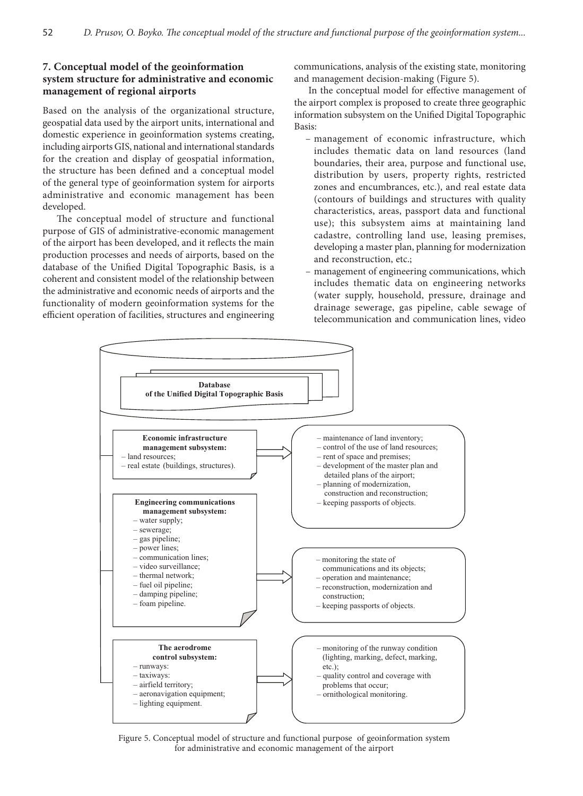# **7. Conceptual model of the geoinformation system structure for administrative and economic management of regional airports**

Based on the analysis of the organizational structure, geospatial data used by the airport units, international and domestic experience in geoinformation systems creating, including airports GIS, national and international standards for the creation and display of geospatial information, the structure has been defined and a conceptual model of the general type of geoinformation system for airports administrative and economic management has been developed.

The conceptual model of structure and functional purpose of GIS of administrative-economic management of the airport has been developed, and it reflects the main production processes and needs of airports, based on the database of the Unified Digital Topographic Basis, is a coherent and consistent model of the relationship between the administrative and economic needs of airports and the functionality of modern geoinformation systems for the efficient operation of facilities, structures and engineering

communications, analysis of the existing state, monitoring and management decision-making (Figure 5).

In the conceptual model for effective management of the airport complex is proposed to create three geographic information subsystem on the Unified Digital Topographic Basis:

- management of economic infrastructure, which includes thematic data on land resources (land boundaries, their area, purpose and functional use, distribution by users, property rights, restricted zones and encumbrances, etc.), and real estate data (contours of buildings and structures with quality characteristics, areas, passport data and functional use); this subsystem aims at maintaining land cadastre, controlling land use, leasing premises, developing a master plan, planning for modernization and reconstruction, etc.;
- management of engineering communications, which includes thematic data on engineering networks (water supply, household, pressure, drainage and drainage sewerage, gas pipeline, cable sewage of telecommunication and communication lines, video



Figure 5. Conceptual model of structure and functional purpose of geoinformation system for administrative and economic management of the airport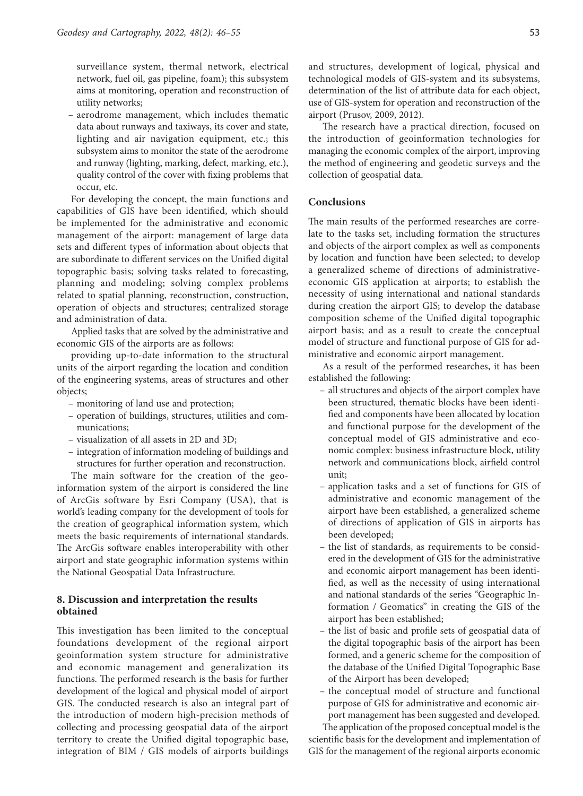surveillance system, thermal network, electrical network, fuel oil, gas pipeline, foam); this subsystem aims at monitoring, operation and reconstruction of utility networks;

– aerodrome management, which includes thematic data about runways and taxiways, its cover and state, lighting and air navigation equipment, etc.; this subsystem aims to monitor the state of the aerodrome and runway (lighting, marking, defect, marking, etc.), quality control of the cover with fixing problems that occur, etc.

For developing the concept, the main functions and capabilities of GIS have been identified, which should be implemented for the administrative and economic management of the airport: management of large data sets and different types of information about objects that are subordinate to different services on the Unified digital topographic basis; solving tasks related to forecasting, planning and modeling; solving complex problems related to spatial planning, reconstruction, construction, operation of objects and structures; centralized storage and administration of data.

Applied tasks that are solved by the administrative and economic GIS of the airports are as follows:

providing up-to-date information to the structural units of the airport regarding the location and condition of the engineering systems, areas of structures and other objects;

- monitoring of land use and protection;
- operation of buildings, structures, utilities and communications;
- visualization of all assets in 2D and 3D;
- integration of information modeling of buildings and structures for further operation and reconstruction.

The main software for the creation of the geoinformation system of the airport is considered the line of ArcGis software by Esri Company (USA), that is world's leading company for the development of tools for the creation of geographical information system, which meets the basic requirements of international standards. The ArcGis software enables interoperability with other airport and state geographic information systems within the National Geospatial Data Infrastructure.

### **8. Discussion and interpretation the results obtained**

This investigation has been limited to the conceptual foundations development of the regional airport geoinformation system structure for administrative and economic management and generalization its functions. The performed research is the basis for further development of the logical and physical model of airport GIS. The conducted research is also an integral part of the introduction of modern high-precision methods of collecting and processing geospatial data of the airport territory to create the Unified digital topographic base, integration of BIM / GIS models of airports buildings

and structures, development of logical, physical and technological models of GIS-system and its subsystems, determination of the list of attribute data for each object, use of GIS-system for operation and reconstruction of the airport (Prusov, 2009, 2012).

The research have a practical direction, focused on the introduction of geoinformation technologies for managing the economic complex of the airport, improving the method of engineering and geodetic surveys and the collection of geospatial data.

# **Conclusions**

The main results of the performed researches are correlate to the tasks set, including formation the structures and objects of the airport complex as well as components by location and function have been selected; to develop a generalized scheme of directions of administrativeeconomic GIS application at airports; to establish the necessity of using international and national standards during creation the airport GIS; to develop the database composition scheme of the Unified digital topographic airport basis; and as a result to create the conceptual model of structure and functional purpose of GIS for administrative and economic airport management.

As a result of the performed researches, it has been established the following:

- all structures and objects of the airport complex have been structured, thematic blocks have been identified and components have been allocated by location and functional purpose for the development of the conceptual model of GIS administrative and economic complex: business infrastructure block, utility network and communications block, airfield control unit;
- application tasks and a set of functions for GIS of administrative and economic management of the airport have been established, a generalized scheme of directions of application of GIS in airports has been developed;
- the list of standards, as requirements to be considered in the development of GIS for the administrative and economic airport management has been identified, as well as the necessity of using international and national standards of the series "Geographic Information / Geomatics" in creating the GIS of the airport has been established;
- the list of basic and profile sets of geospatial data of the digital topographic basis of the airport has been formed, and a generic scheme for the composition of the database of the Unified Digital Topographic Base of the Airport has been developed;
- the conceptual model of structure and functional purpose of GIS for administrative and economic airport management has been suggested and developed.

The application of the proposed conceptual model is the scientific basis for the development and implementation of GIS for the management of the regional airports economic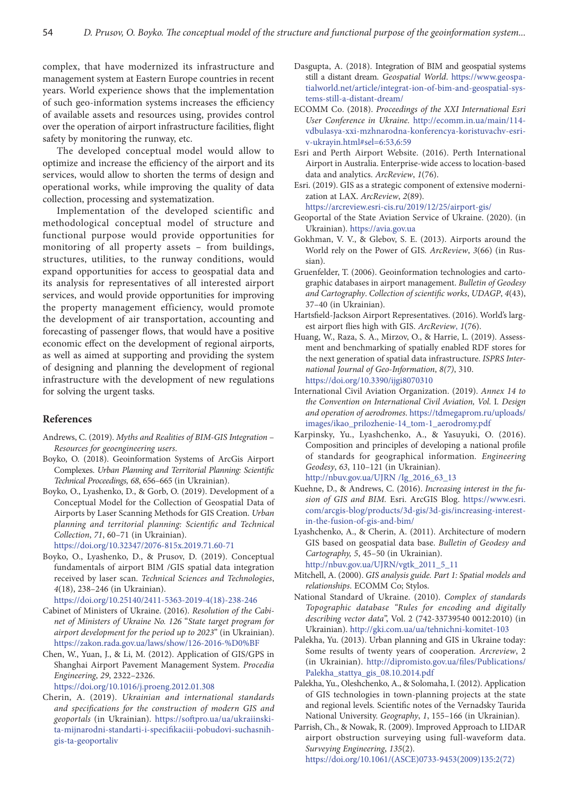complex, that have modernized its infrastructure and management system at Eastern Europe countries in recent years. World experience shows that the implementation of such geo-information systems increases the efficiency of available assets and resources using, provides control over the operation of airport infrastructure facilities, flight safety by monitoring the runway, etc.

The developed conceptual model would allow to optimize and increase the efficiency of the airport and its services, would allow to shorten the terms of design and operational works, while improving the quality of data collection, processing and systematization.

Implementation of the developed scientific and methodological conceptual model of structure and functional purpose would provide opportunities for monitoring of all property assets – from buildings, structures, utilities, to the runway conditions, would expand opportunities for access to geospatial data and its analysis for representatives of all interested airport services, and would provide opportunities for improving the property management efficiency, would promote the development of air transportation, accounting and forecasting of passenger flows, that would have a positive economic effect on the development of regional airports, as well as aimed at supporting and providing the system of designing and planning the development of regional infrastructure with the development of new regulations for solving the urgent tasks.

#### **References**

- Andrews, C. (2019). *Myths and Realities of BIM-GIS Integration Resources for geoengineering users*.
- Boyko, O. (2018). Geoinformation Systems of ArcGis Airport Complexes. *Urban Planning and Territorial Planning: Scientific Technical Proceedings, 68*, 656–665 (in Ukrainian).
- Boyko, O., Lyashenko, D., & Gorb, O. (2019). Development of a Conceptual Model for the Collection of Geospatial Data of Airports by Laser Scanning Methods for GIS Creation. *Urban planning and territorial planning: Scientific and Technical Collection*, *71*, 60–71 (in Ukrainian).

<https://doi.org/10.32347/2076-815x.2019.71.60-71>

- Boyko, O., Lyashenko, D., & Prusov, D. (2019). Conceptual fundamentals of airport ВIM /GIS spatial data integration received by laser scan. *Technical Sciences and Technologies*, *4*(18), 238–246 (in Ukrainian).
	- [https://doi.org/10.25140/2411-5363-2019-4\(18\)-238-246](https://doi.org/10.25140/2411-5363-2019-4(18)-238-246)
- Cabinet of Ministers of Ukraine. (2016). *Resolution of the Cabinet of Ministers of Ukraine No. 126* "*State target program for airport development for the period up to 2023*" (in Ukrainian). <https://zakon.rada.gov.ua/laws/show/126-2016-%D0%BF>
- Chen, W., Yuan, J., & Li, M. (2012). Application of GIS/GPS in Shanghai Airport Pavement Management System. *Procedia Engineering*, *29*, 2322–2326.

<https://doi.org/10.1016/j.proeng.2012.01.308>

Cherin, A. (2019). *Ukrainian and international standards and specifications for the construction of modern GIS and geoportals* (in Ukrainian). [https://softpro.ua/ua/ukraiinski](https://softpro.ua/ua/ukraiinski-ta-mijnarodni-standarti-i-specifikaciii-pobudovi-suchasnih-gis-ta-geoportaliv)[ta-mijnarodni-standarti-i-specifikaciii-pobudovi-suchasnih](https://softpro.ua/ua/ukraiinski-ta-mijnarodni-standarti-i-specifikaciii-pobudovi-suchasnih-gis-ta-geoportaliv)[gis-ta-geoportaliv](https://softpro.ua/ua/ukraiinski-ta-mijnarodni-standarti-i-specifikaciii-pobudovi-suchasnih-gis-ta-geoportaliv)

- Dasgupta, A. (2018). Integration of BIM and geospatial systems still a distant dream. *Geospatial World*. [https://www.geospa](https://www.geospatialworld.net/article/integrat-ion-of-bim-and-geospatial-systems-still-a-distant-dream/)[tialworld.net/article/integrat-ion-of-bim-and-geospatial-sys](https://www.geospatialworld.net/article/integrat-ion-of-bim-and-geospatial-systems-still-a-distant-dream/)[tems-still-a-distant-dream/](https://www.geospatialworld.net/article/integrat-ion-of-bim-and-geospatial-systems-still-a-distant-dream/)
- ЕСОММ Со. (2018). *Proceedings of the XXI International Esri User Conference in Ukraine.* http://ecomm.in.ua/main/114 vdbulasya-xxi-mzhnarodna-konferencya-koristuvachv-esriv-ukrayin.html#sel=6:53,6:59
- Esri and Perth Airport Website. (2016). Perth International Airport in Australia. Enterprise-wide access to location-based data and analytics. *[ArcReview](https://www.esri-cis.ru/news/arcreview/all.php)*, *1*(76).
- Esri. (2019). GIS as a strategic component of extensive modernization at LAX. *[ArcReview](https://www.esri-cis.ru/news/arcreview/all.php)*, *2*(89).

https://arcreview.esri-cis.ru/2019/12/25/airport-gis/

- Geoportal of the State Aviation Service of Ukraine. (2020). (in Ukrainian). <https://avia.gov.ua>
- Gokhman, V. V., & Glebov, S. E. (2013). Airports around the World rely on the Power of GIS*. [ArcReview](https://www.esri-cis.ru/news/arcreview/all.php)*, *3*(66) (in Russian).
- Gruenfelder, T. (2006). Geoinformation technologies and cartographic databases in airport management. *Bulletin of Geodesy and Cartography*. *Collection of scientific works*, *UDAGP*, *4*(43), 37–40 (in Ukrainian).
- Hartsfield-Jackson Airport Representatives. (2016). World's largest airport flies high with GIS. *ArcReview*, *1*(76).
- Huang, W., Raza, S. A., Mirzov, O., & Harrie, L. (2019). Assessment and benchmarking of spatially enabled RDF stores for the next generation of spatial data infrastructure. *ISPRS International Journal of Geo-Information*, *8(7)*, 310. <https://doi.org/10.3390/ijgi8070310>
- International Civil Aviation Organization. (2019). *Annex 14 to the Convention on International Civil Aviation, Vol.* I*. Design and operation of aerodromes*. [https://tdmegaprom.ru/uploads/](https://tdmegaprom.ru/uploads/images/ikao_prilozhenie-14_tom-1_aerodromy.pdf) [images/ikao\\_prilozhenie-14\\_tom-1\\_aerodromy.pdf](https://tdmegaprom.ru/uploads/images/ikao_prilozhenie-14_tom-1_aerodromy.pdf)
- Karpinsky, Yu., Lyashchenko, A., & Yasuyuki, O. (2016). Composition and principles of developing a national profile of standards for geographical information*. Engineering Geodesy*, *63*, 110–121 (in Ukrainian). [http://nbuv.gov.ua/UJRN /Ig\\_2016\\_63\\_13](http://www.irbis-nbuv.gov.ua/cgi-bin/irbis_nbuv/cgiirbis_64.exe?I21DBN=LINK&P21DBN=UJRN&Z21ID=&S21REF=10&S21CNR=20&S21STN=1&S21FMT=ASP_meta&C21COM=S&2_S21P03=FILA=&2_S21STR=Ig_2016_63_13)
- Kuehne, D., & Andrews, C. (2016). *Increasing interest in the fusion of GIS and BIM.* Esri. ArcGIS Blog. [https://www.esri.](https://www.esri.com/arcgis-blog/products/3d-gis/3d-gis/increasing-interest-in-the-fusion-of-gis-and-bim/) [com/arcgis-blog/products/3d-gis/3d-gis/increasing-interest](https://www.esri.com/arcgis-blog/products/3d-gis/3d-gis/increasing-interest-in-the-fusion-of-gis-and-bim/)[in-the-fusion-of-gis-and-bim/](https://www.esri.com/arcgis-blog/products/3d-gis/3d-gis/increasing-interest-in-the-fusion-of-gis-and-bim/)
- Lyashchenko, A., & Cherin, A. (2011). Architecture of modern GIS based on geospatial data base. *Bulletin of Geodesy and Cartography, 5*, 45–50 (in Ukrainian). [http://nbuv.gov.ua/UJRN/vgtk\\_2011\\_5\\_11](http://nbuv.gov.ua/UJRN/vgtk_2011_5_11)
- Mitchell, A. (2000). *GIS analysis guide. Part 1: Spatial models and relationships*. ЕСОММ Со; Stylos.
- National Standard of Ukraine. (2010). *Complex of standards Topographic database "Rules for encoding and digitally describing vector data*", Vol. 2 (742-33739540 0012:2010) (in Ukrainian). <http://gki.com.ua/ua/tehnichni-komitet-103>
- Palekha, Yu. (2013). Urban planning and GIS in Ukraine today: Some results of twenty years of cooperation*. Arcreview*, 2 (in Ukrainian). [http://dipromisto.gov.ua/files/Publications/](http://dipromisto.gov.ua/files/Publications/Palekha_stattya_gis_08.10.2014.pdf) [Palekha\\_stattya\\_gis\\_08.10.2014.pdf](http://dipromisto.gov.ua/files/Publications/Palekha_stattya_gis_08.10.2014.pdf)
- Palekha, Yu., Oleshchenko, A., & Solomaha, I. (2012). Application of GIS technologies in town-planning projects at the state and regional levels*.* Scientific notes of the Vernadsky Taurida National University. *Geography*, *1*, 155–166 (in Ukrainian).
- Parrish, Ch., & Nowak, R. (2009). Improved Approach to LIDAR airport obstruction surveying using full-waveform data. *Surveying Engineering*, *135*(2). [https://doi.org/10.1061/\(ASCE\)0733-9453\(2009\)135:2\(72\)](https://doi.org/10.1061/(ASCE)0733-9453(2009)135:2(72))